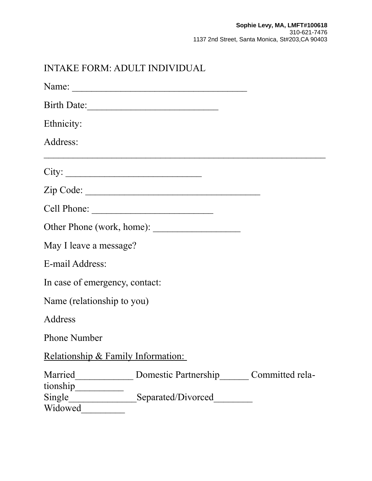| <b>INTAKE FORM: ADULT INDIVIDUAL</b> |                                      |  |
|--------------------------------------|--------------------------------------|--|
|                                      |                                      |  |
|                                      | Birth Date:                          |  |
| Ethnicity:                           |                                      |  |
| Address:                             |                                      |  |
| City:                                |                                      |  |
|                                      |                                      |  |
|                                      |                                      |  |
|                                      |                                      |  |
| May I leave a message?               |                                      |  |
| E-mail Address:                      |                                      |  |
| In case of emergency, contact:       |                                      |  |
| Name (relationship to you)           |                                      |  |
| <b>Address</b>                       |                                      |  |
| <b>Phone Number</b>                  |                                      |  |
| Relationship & Family Information:   |                                      |  |
| Married<br>tionship                  | Domestic Partnership Committed rela- |  |
| Single<br>Widowed                    | Separated/Divorced                   |  |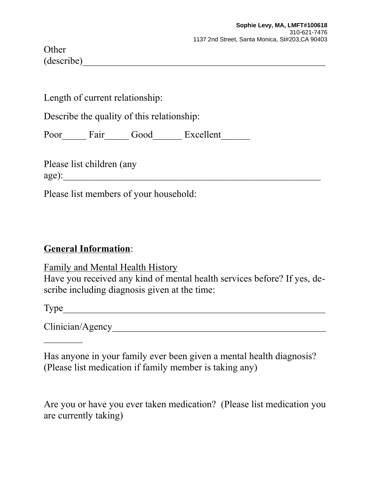**Other** (describe)\_\_\_\_\_\_\_\_\_\_\_\_\_\_\_\_\_\_\_\_\_\_\_\_\_\_\_\_\_\_\_\_\_\_\_\_\_\_\_\_\_\_\_\_\_\_\_\_\_\_

Length of current relationship:

Describe the quality of this relationship:

Poor\_\_\_\_\_\_ Fair\_\_\_\_\_\_ Good\_\_\_\_\_\_\_ Excellent\_\_\_\_\_\_\_

Please list children (any  $age)$ :

Please list members of your household:

## **General Information**:

Family and Mental Health History Have you received any kind of mental health services before? If yes, describe including diagnosis given at the time:

Type\_\_\_\_\_\_\_\_\_\_\_\_\_\_\_\_\_\_\_\_\_\_\_\_\_\_\_\_\_\_\_\_\_\_\_\_\_\_\_\_\_\_\_\_\_\_\_\_\_\_\_\_\_\_

 $\frac{1}{2}$ 

Clinician/Agency\_\_\_\_\_\_\_\_\_\_\_\_\_\_\_\_\_\_\_\_\_\_\_\_\_\_\_\_\_\_\_\_\_\_\_\_\_\_\_\_\_\_\_\_

Has anyone in your family ever been given a mental health diagnosis? (Please list medication if family member is taking any)

Are you or have you ever taken medication? (Please list medication you are currently taking)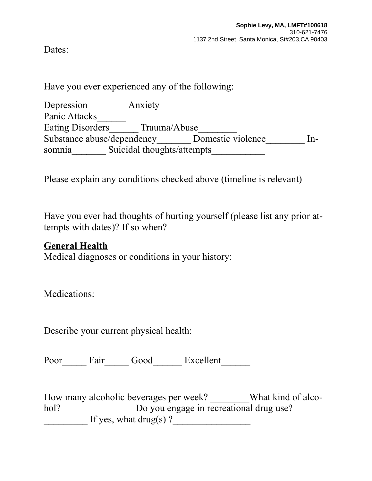Dates:

Have you ever experienced any of the following:

Depression\_\_\_\_\_\_\_\_ Anxiety\_\_\_\_\_\_\_\_\_\_\_ Panic Attacks Eating Disorders\_\_\_\_\_\_ Trauma/Abuse\_\_\_\_\_\_\_\_ Substance abuse/dependency\_\_\_\_\_\_\_ Domestic violence\_\_\_\_\_\_\_\_ Insomnia\_\_\_\_\_\_\_ Suicidal thoughts/attempts\_\_\_\_\_\_\_\_\_\_\_

Please explain any conditions checked above (timeline is relevant)

Have you ever had thoughts of hurting yourself (please list any prior attempts with dates)? If so when?

## **General Health**

Medical diagnoses or conditions in your history:

Medications:

Describe your current physical health:

Poor\_\_\_\_\_ Fair\_\_\_\_\_ Good\_\_\_\_\_\_ Excellent\_\_\_\_\_\_

How many alcoholic beverages per week? \_\_\_\_\_\_\_What kind of alcohol?\_\_\_\_\_\_\_\_\_\_\_\_\_\_\_\_\_\_\_ Do you engage in recreational drug use?  $\frac{1}{\sqrt{1 + \frac{1}{\sqrt{1 + \frac{1}{\sqrt{1 + \frac{1}{\sqrt{1 + \frac{1}{\sqrt{1 + \frac{1}{\sqrt{1 + \frac{1}{\sqrt{1 + \frac{1}{\sqrt{1 + \frac{1}{\sqrt{1 + \frac{1}{\sqrt{1 + \frac{1}{\sqrt{1 + \frac{1}{\sqrt{1 + \frac{1}{\sqrt{1 + \frac{1}{\sqrt{1 + \frac{1}{\sqrt{1 + \frac{1}{\sqrt{1 + \frac{1}{\sqrt{1 + \frac{1}{\sqrt{1 + \frac{1}{\sqrt{1 + \frac{1}{\sqrt{1 + \frac{1}{\sqrt{1 + \frac{1}{\sqrt{1 +$